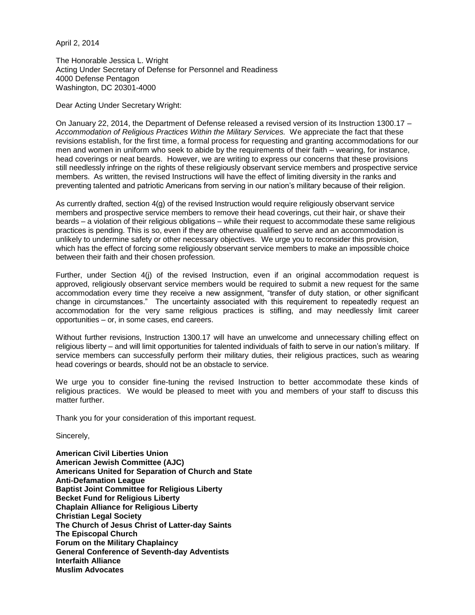April 2, 2014

The Honorable Jessica L. Wright Acting Under Secretary of Defense for Personnel and Readiness 4000 Defense Pentagon Washington, DC 20301-4000

Dear Acting Under Secretary Wright:

On January 22, 2014, the Department of Defense released a revised version of its Instruction 1300.17 – *Accommodation of Religious Practices Within the Military Services.* We appreciate the fact that these revisions establish, for the first time, a formal process for requesting and granting accommodations for our men and women in uniform who seek to abide by the requirements of their faith – wearing, for instance, head coverings or neat beards. However, we are writing to express our concerns that these provisions still needlessly infringe on the rights of these religiously observant service members and prospective service members. As written, the revised Instructions will have the effect of limiting diversity in the ranks and preventing talented and patriotic Americans from serving in our nation's military because of their religion.

As currently drafted, section 4(g) of the revised Instruction would require religiously observant service members and prospective service members to remove their head coverings, cut their hair, or shave their beards – a violation of their religious obligations – while their request to accommodate these same religious practices is pending. This is so, even if they are otherwise qualified to serve and an accommodation is unlikely to undermine safety or other necessary objectives. We urge you to reconsider this provision, which has the effect of forcing some religiously observant service members to make an impossible choice between their faith and their chosen profession.

Further, under Section 4(j) of the revised Instruction, even if an original accommodation request is approved, religiously observant service members would be required to submit a new request for the same accommodation every time they receive a new assignment, "transfer of duty station, or other significant change in circumstances." The uncertainty associated with this requirement to repeatedly request an accommodation for the very same religious practices is stifling, and may needlessly limit career opportunities – or, in some cases, end careers.

Without further revisions, Instruction 1300.17 will have an unwelcome and unnecessary chilling effect on religious liberty – and will limit opportunities for talented individuals of faith to serve in our nation's military. If service members can successfully perform their military duties, their religious practices, such as wearing head coverings or beards, should not be an obstacle to service.

We urge you to consider fine-tuning the revised Instruction to better accommodate these kinds of religious practices. We would be pleased to meet with you and members of your staff to discuss this matter further.

Thank you for your consideration of this important request.

Sincerely,

**American Civil Liberties Union American Jewish Committee (AJC) Americans United for Separation of Church and State Anti-Defamation League Baptist Joint Committee for Religious Liberty Becket Fund for Religious Liberty Chaplain Alliance for Religious Liberty Christian Legal Society The Church of Jesus Christ of Latter-day Saints The Episcopal Church Forum on the Military Chaplaincy General Conference of Seventh-day Adventists Interfaith Alliance Muslim Advocates**